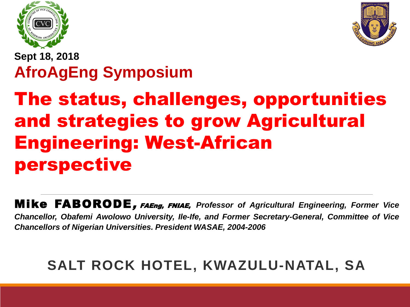



#### **Sept 18, 2018 AfroAgEng Symposium**

### The status, challenges, opportunities and strategies to grow Agricultural Engineering: West-African perspective

Mike FABORODE, FAEng, FNIAE, *Professor of Agricultural Engineering, Former Vice Chancellor, Obafemi Awolowo University, Ile-Ife, and Former Secretary-General, Committee of Vice Chancellors of Nigerian Universities. President WASAE, 2004-2006*

#### **SALT ROCK HOTEL, KWAZULU-NATAL, SA**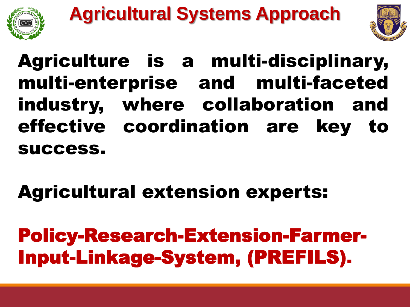



### Agriculture is a multi-disciplinary, multi-enterprise and multi-faceted industry, where collaboration and effective coordination are key to success.

# Agricultural extension experts:

Policy-Research-Extension-Farmer-Input-Linkage-System, (PREFILS).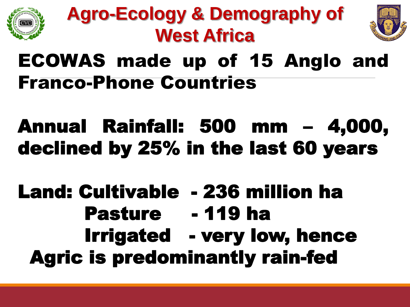





#### ECOWAS made up of 15 Anglo and Franco-Phone Countries

## Annual Rainfall: 500 mm – 4,000, declined by 25% in the last 60 years

#### Land: Cultivable - 236 million ha Pasture - 119 ha Irrigated - very low, hence Agric is predominantly rain-fed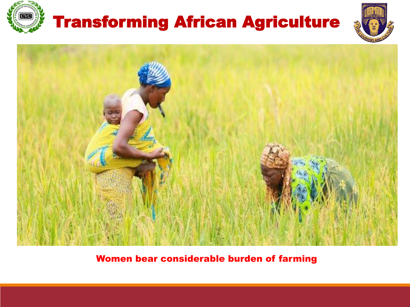

#### Transforming African Agriculture





Women bear considerable burden of farming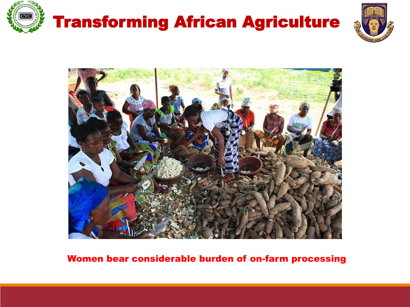

## Transforming African Agriculture





#### Women bear considerable burden of on-farm processing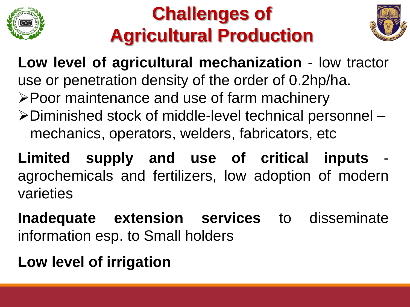

#### **Challenges of Agricultural Production**



**Low level of agricultural mechanization** - low tractor use or penetration density of the order of 0.2hp/ha. ➢Poor maintenance and use of farm machinery ➢Diminished stock of middle-level technical personnel – mechanics, operators, welders, fabricators, etc

**Limited supply and use of critical inputs** agrochemicals and fertilizers, low adoption of modern varieties

**Inadequate extension services** to disseminate information esp. to Small holders

**Low level of irrigation**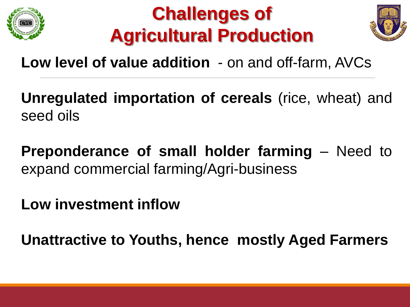





#### **Low level of value addition** - on and off-farm, AVCs

**Unregulated importation of cereals** (rice, wheat) and seed oils

**Preponderance of small holder farming** – Need to expand commercial farming/Agri-business

**Low investment inflow**

**Unattractive to Youths, hence mostly Aged Farmers**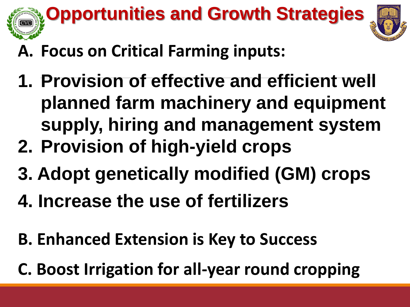

- **A. Focus on Critical Farming inputs:**
- **1. Provision of effective and efficient well planned farm machinery and equipment supply, hiring and management system**
- **2. Provision of high-yield crops**
- **3. Adopt genetically modified (GM) crops**
- **4. Increase the use of fertilizers**
- **B. Enhanced Extension is Key to Success**
- **C. Boost Irrigation for all-year round cropping**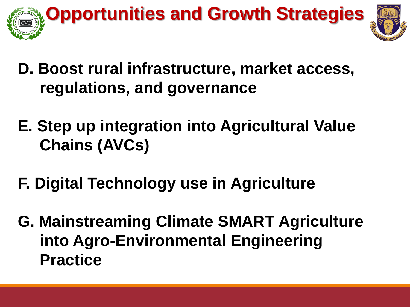

- **D. Boost rural infrastructure, market access, regulations, and governance**
- **E. Step up integration into Agricultural Value Chains (AVCs)**
- **F. Digital Technology use in Agriculture**
- **G. Mainstreaming Climate SMART Agriculture into Agro-Environmental Engineering Practice**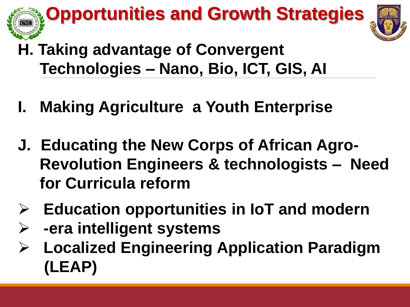# **Opportunities and Growth Strategies**



- **H. Taking advantage of Convergent Technologies – Nano, Bio, ICT, GIS, AI**
- **I. Making Agriculture a Youth Enterprise**
- **J. Educating the New Corps of African Agro-Revolution Engineers & technologists – Need for Curricula reform**
- ➢ **Education opportunities in IoT and modern**
	- ➢ **-era intelligent systems**
- ➢ **Localized Engineering Application Paradigm (LEAP)**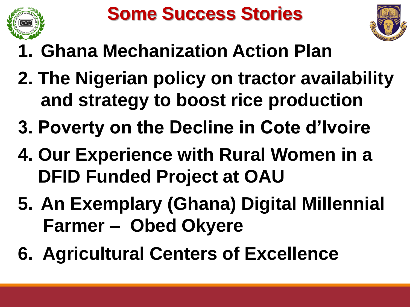



- **1. Ghana Mechanization Action Plan**
- **2. The Nigerian policy on tractor availability and strategy to boost rice production**
- **3. Poverty on the Decline in Cote d'Ivoire**
- **4. Our Experience with Rural Women in a DFID Funded Project at OAU**
- **5. An Exemplary (Ghana) Digital Millennial Farmer – Obed Okyere**
- **6. Agricultural Centers of Excellence**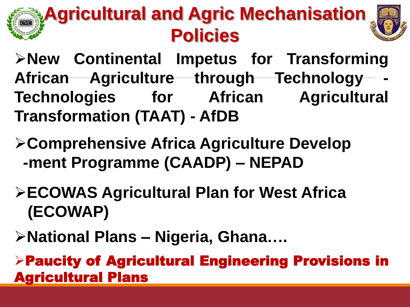# **Agricultural and Agric Mechanisation Policies**



➢**New Continental Impetus for Transforming African Agriculture through Technology - Technologies for African Agricultural Transformation (TAAT) - AfDB**

- ➢**Comprehensive Africa Agriculture Develop -ment Programme (CAADP) – NEPAD**
- ➢**ECOWAS Agricultural Plan for West Africa (ECOWAP)**
- ➢**National Plans – Nigeria, Ghana….**

➢Paucity of Agricultural Engineering Provisions in Agricultural Plans